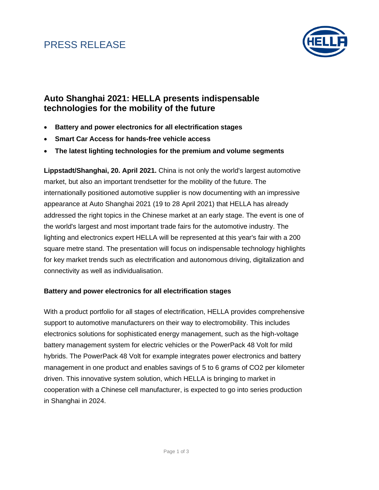### PRESS RELEASE



### **Auto Shanghai 2021: HELLA presents indispensable technologies for the mobility of the future**

- **Battery and power electronics for all electrification stages**
- **Smart Car Access for hands-free vehicle access**
- **The latest lighting technologies for the premium and volume segments**

**Lippstadt/Shanghai, 20. April 2021.** China is not only the world's largest automotive market, but also an important trendsetter for the mobility of the future. The internationally positioned automotive supplier is now documenting with an impressive appearance at Auto Shanghai 2021 (19 to 28 April 2021) that HELLA has already addressed the right topics in the Chinese market at an early stage. The event is one of the world's largest and most important trade fairs for the automotive industry. The lighting and electronics expert HELLA will be represented at this year's fair with a 200 square metre stand. The presentation will focus on indispensable technology highlights for key market trends such as electrification and autonomous driving, digitalization and connectivity as well as individualisation.

#### **Battery and power electronics for all electrification stages**

With a product portfolio for all stages of electrification, HELLA provides comprehensive support to automotive manufacturers on their way to electromobility. This includes electronics solutions for sophisticated energy management, such as the high-voltage battery management system for electric vehicles or the PowerPack 48 Volt for mild hybrids. The PowerPack 48 Volt for example integrates power electronics and battery management in one product and enables savings of 5 to 6 grams of CO2 per kilometer driven. This innovative system solution, which HELLA is bringing to market in cooperation with a Chinese cell manufacturer, is expected to go into series production in Shanghai in 2024.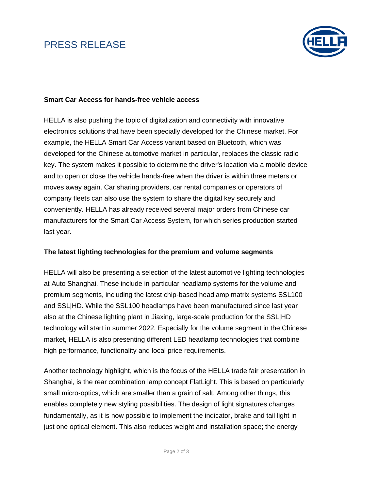# PRESS RELEASE



#### **Smart Car Access for hands-free vehicle access**

HELLA is also pushing the topic of digitalization and connectivity with innovative electronics solutions that have been specially developed for the Chinese market. For example, the HELLA Smart Car Access variant based on Bluetooth, which was developed for the Chinese automotive market in particular, replaces the classic radio key. The system makes it possible to determine the driver's location via a mobile device and to open or close the vehicle hands-free when the driver is within three meters or moves away again. Car sharing providers, car rental companies or operators of company fleets can also use the system to share the digital key securely and conveniently. HELLA has already received several major orders from Chinese car manufacturers for the Smart Car Access System, for which series production started last year.

#### **The latest lighting technologies for the premium and volume segments**

HELLA will also be presenting a selection of the latest automotive lighting technologies at Auto Shanghai. These include in particular headlamp systems for the volume and premium segments, including the latest chip-based headlamp matrix systems SSL100 and SSL|HD. While the SSL100 headlamps have been manufactured since last year also at the Chinese lighting plant in Jiaxing, large-scale production for the SSL|HD technology will start in summer 2022. Especially for the volume segment in the Chinese market, HELLA is also presenting different LED headlamp technologies that combine high performance, functionality and local price requirements.

Another technology highlight, which is the focus of the HELLA trade fair presentation in Shanghai, is the rear combination lamp concept FlatLight. This is based on particularly small micro-optics, which are smaller than a grain of salt. Among other things, this enables completely new styling possibilities. The design of light signatures changes fundamentally, as it is now possible to implement the indicator, brake and tail light in just one optical element. This also reduces weight and installation space; the energy